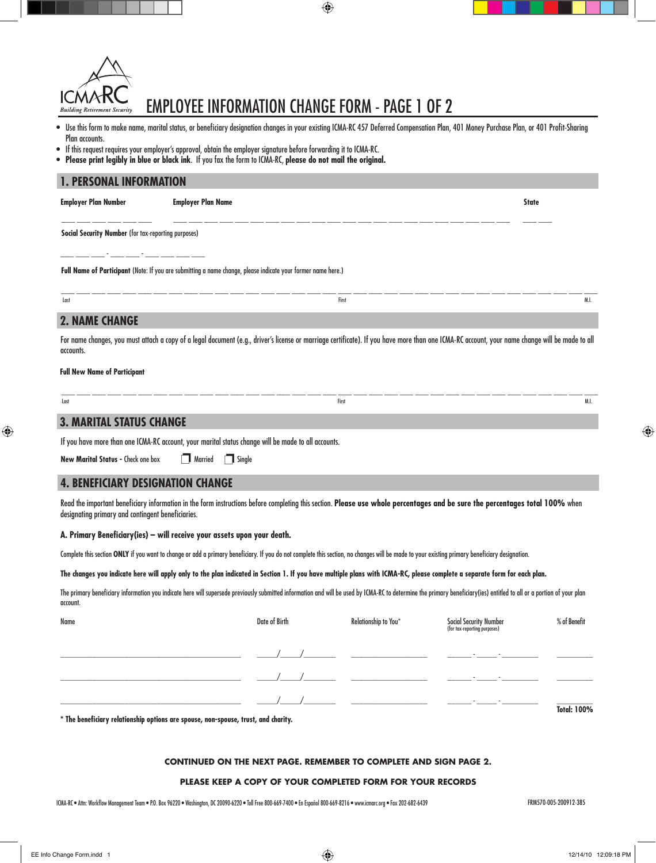

## EMPLOYEE INFORMATION CHANGE FORM - page 1 of 2

- • Use this form to make name, marital status, or beneficiary designation changes in your existing ICMA-RC 457 Deferred Compensation Plan, 401 Money Purchase Plan, or 401 Profit-Sharing Plan accounts.
- • If this request requires your employer's approval, obtain the employer signature before forwarding it to ICMA-RC.
- • **Please print legibly in blue or black ink**. If you fax the form to ICMA-RC, **please do not mail the original.**

## Read the important beneficiary information in the form instructions before completing this section. **Please use whole percentages and be sure the percentages total 100%** when designating primary and contingent beneficiaries. **A. Primary Beneficiary(ies) – will receive your assets upon your death.** Complete this section ONLY if you want to change or add a primary beneficiary. If you do not complete this section, no changes will be made to your existing primary beneficiary designation. **The changes you indicate here will apply only to the plan indicated in Section 1. If you have multiple plans with ICMA-RC, please complete a separate form for each plan.**  The primary beneficiary information you indicate here will supersede previously submitted information and will be used by ICMA-RC to determine the primary beneficiary(ies) entitled to all or a portion of your plan account. Name Social Security Number Social Security Number Social Security Number Social Security Number Social Security Number Social Security Number Social Security Number Social Security Number Social Security Number Social Sec \_\_\_\_\_\_\_\_\_\_\_\_\_\_\_\_\_\_\_\_\_\_\_\_\_\_\_\_\_\_\_\_\_\_\_\_\_\_\_\_\_\_\_\_\_ \_\_\_\_\_/\_\_\_\_\_/\_\_\_\_\_\_\_\_ \_\_\_\_\_\_\_\_\_\_\_\_\_\_\_\_\_\_\_ \_\_\_\_\_\_ - \_\_\_\_\_ - \_\_\_\_\_\_\_\_\_ \_\_\_\_\_\_\_\_\_ \_\_\_\_\_\_\_\_\_\_\_\_\_\_\_\_\_\_\_\_\_\_\_\_\_\_\_\_\_\_\_\_\_\_\_\_\_\_\_\_\_\_\_\_\_ \_\_\_\_\_/\_\_\_\_\_/\_\_\_\_\_\_\_\_ \_\_\_\_\_\_\_\_\_\_\_\_\_\_\_\_\_\_\_ \_\_\_\_\_\_ - \_\_\_\_\_ - \_\_\_\_\_\_\_\_\_ \_\_\_\_\_\_\_\_\_ \_\_\_\_\_\_\_\_\_\_\_\_\_\_\_\_\_\_\_\_\_\_\_\_\_\_\_\_\_\_\_\_\_\_\_\_\_\_\_\_\_\_\_\_\_ \_\_\_\_\_/\_\_\_\_\_/\_\_\_\_\_\_\_\_ \_\_\_\_\_\_\_\_\_\_\_\_\_\_\_\_\_\_\_ \_\_\_\_\_\_ - \_\_\_\_\_ - \_\_\_\_\_\_\_\_\_ \_\_\_\_\_\_\_\_\_ **Total: 100% \* The beneficiary relationship options are spouse, non-spouse, trust, and charity. Social Security Number** (for tax-reporting purposes) **Employer Plan Number Employer Plan Name State** \_\_\_ \_\_\_ \_\_\_ \_\_\_ \_\_\_ \_\_\_ \_\_\_ \_\_\_ \_\_\_ \_\_\_ \_\_\_ \_\_\_ \_\_\_ \_\_\_ \_\_\_ \_\_\_ \_\_\_ \_\_\_ \_\_\_ \_\_\_ \_\_\_ \_\_\_ \_\_\_ \_\_\_ \_\_\_ \_\_\_ \_\_\_ \_\_\_ \_\_\_ \_\_\_ \_\_\_\_ \_\_\_ \_\_\_ - \_\_\_ - \_\_\_ - \_\_\_ - \_\_\_ \_\_\_ \_\_\_\_ \_\_\_\_ **Full New Name of Participant** Last First M.I. **Full Name of Participant** (Note: If you are submitting a name change, please indicate your former name here.) \_\_\_ \_\_\_ \_\_\_ \_\_\_ \_\_\_ \_\_\_ \_\_\_ \_\_\_ \_\_\_ \_\_\_ \_\_\_ \_\_\_ \_\_\_ \_\_\_ \_\_\_ \_\_\_ \_\_\_ \_\_\_ \_\_\_ \_\_\_ \_\_\_ \_\_\_ \_\_\_ \_\_\_ \_\_\_ \_\_\_ \_\_\_ \_\_\_ \_\_\_ \_\_\_ \_\_\_ \_\_\_ \_\_\_ \_\_\_ \_\_\_ For name changes, you must attach a copy of a legal document (e.g., driver's license or marriage certificate). If you have more than one ICMA-RC account, your name change will be made to all accounts. If you have more than one ICMA-RC account, your marital status change will be made to all accounts. **New Marital Status - Check one box 1. personal information** Last First M.I. \_\_\_ \_\_\_ \_\_\_ \_\_\_ \_\_\_ \_\_\_ \_\_\_ \_\_\_ \_\_\_ \_\_\_ \_\_\_ \_\_\_ \_\_\_ \_\_\_ \_\_\_ \_\_\_ \_\_\_ \_\_\_ \_\_\_ \_\_\_ \_\_\_ \_\_\_ \_\_\_ \_\_\_ \_\_\_ \_\_\_ \_\_\_ \_\_\_ \_\_\_ \_\_\_ \_\_\_ \_\_\_ \_\_\_ \_\_\_ \_\_\_  **2. Name Change 3. Marital Status Change 4. Beneficiary Designation change** (for tax-reporting purposes)  $\Box$  Married  $\Box$  Single

#### **continued on the next page. remember to complete and sign page 2.**

#### **please keep a copy of your completed form for your records**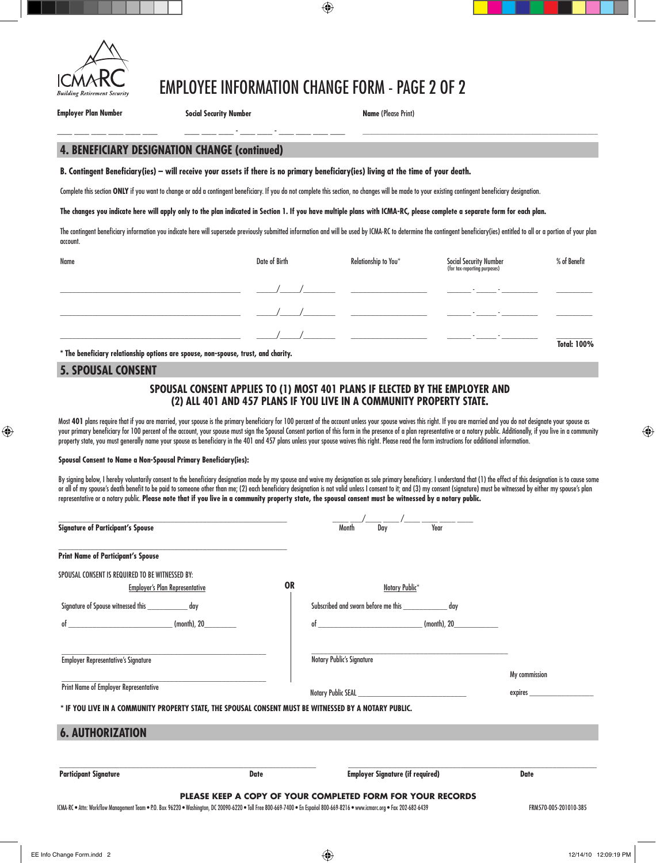

## EMPLOYEE INFORMATION CHANGE FORM - page 2 of 2

**Employer Plan Number Social Security Number**

\_\_\_ \_\_\_ \_\_\_ \_\_\_ \_\_\_ \_\_\_ \_\_\_ \_\_\_ \_\_\_ - \_\_\_ \_\_\_ - \_\_\_ \_\_\_ \_\_\_ \_\_\_

**Name** (Please Print)

**\_\_\_\_\_\_\_\_\_\_\_\_\_\_\_\_\_\_\_\_\_\_\_\_\_\_\_\_\_\_\_\_\_\_\_\_\_\_\_\_\_\_\_\_\_\_\_\_\_\_\_\_\_\_\_\_\_\_\_\_\_\_\_\_\_\_\_**

## **4. Beneficiary Designation change (continued)**

**B. Contingent Beneficiary(ies) – will receive your assets if there is no primary beneficiary(ies) living at the time of your death.**

Complete this section ONLY if you want to change or add a contingent beneficiary. If you do not complete this section, no changes will be made to your existing contingent beneficiary designation.

**The changes you indicate here will apply only to the plan indicated in Section 1. If you have multiple plans with ICMA-RC, please complete a separate form for each plan.** 

The contingent beneficiary information you indicate here will supersede previously submitted information and will be used by ICMA-RC to determine the contingent beneficiary(ies) entitled to all or a portion of your plan account.

| Name                                                                                 | Date of Birth | Relationship to You* | Social Security Number<br>(for tax-reporting purposes) | % of Benefit       |
|--------------------------------------------------------------------------------------|---------------|----------------------|--------------------------------------------------------|--------------------|
|                                                                                      |               |                      | <u>and the state of the state</u>                      |                    |
|                                                                                      |               |                      | $\overline{\phantom{a}}$<br>$\overline{\phantom{a}}$   |                    |
| * The hourfisings valutionality outlook and customer new customer touch and shoulder |               |                      |                                                        | <b>Total: 100%</b> |

**\* The beneficiary relationship options are spouse, non-spouse, trust, and charity.** 

## **5. Spousal Consent**

## **SPOUSAL CONSENT APPLIES TO (1) MOST 401 PLANS IF ELECTED BY THE EMPLOYER AND (2) ALL 401 AND 457 PLANS IF YOU LIVE IN A COMMUNITY PROPERTY STATE.**

Most **401** plans require that if you are married, your spouse is the primary beneficiary for 100 percent of the account unless your spouse waives this right. If you are married and you do not designate your spouse as your primary beneficiary for 100 percent of the account, your spouse must sign the Spousal Consent portion of this form in the presence of a plan representative or a notary public. Additionally, if you live in a community property state, you must generally name your spouse as beneficiary in the 401 and 457 plans unless your spouse waives this right. Please read the form instructions for additional information.

#### **Spousal Consent to Name a Non-Spousal Primary Beneficiary(ies):**

By signing below, I hereby voluntarily consent to the beneficiary designation made by my spouse and waive my designation as sole primary beneficiary. I understand that (1) the effect of this designation is to cause some or all of my spouse's death benefit to be paid to someone other than me; (2) each beneficiary designation is not valid unless I consent to it; and (3) my consent (signature) must be witnessed by either my spouse's plan representative or a notary public. **Please note that if you live in a community property state, the spousal consent must be witnessed by a notary public.**

| <b>Signature of Participant's Spouse</b>                                                               |             |                                  | Dav<br>Month                                               | Year        |               |  |
|--------------------------------------------------------------------------------------------------------|-------------|----------------------------------|------------------------------------------------------------|-------------|---------------|--|
| <b>Print Name of Participant's Spouse</b>                                                              |             |                                  |                                                            |             |               |  |
| SPOUSAL CONSENT IS REQUIRED TO BE WITNESSED BY:<br><b>Employer's Plan Representative</b>               |             | <b>OR</b>                        | Notary Public*                                             |             |               |  |
| Signature of Spouse witnessed this ______________ day                                                  |             |                                  | Subscribed and sworn before me this _________________ day  |             |               |  |
| (month), 20_<br>of                                                                                     |             |                                  | $of$ (month), 20                                           |             |               |  |
| <b>Employer Representative's Signature</b>                                                             |             | <b>Notary Public's Signature</b> |                                                            |             |               |  |
|                                                                                                        |             |                                  |                                                            |             | My commission |  |
| Print Name of Employer Representative                                                                  |             |                                  |                                                            | expires ___ |               |  |
| * IF YOU LIVE IN A COMMUNITY PROPERTY STATE, THE SPOUSAL CONSENT MUST BE WITNESSED BY A NOTARY PUBLIC. |             |                                  |                                                            |             |               |  |
| <b>6. AUTHORIZATION</b>                                                                                |             |                                  |                                                            |             |               |  |
|                                                                                                        |             |                                  |                                                            |             |               |  |
| <b>Participant Signature</b>                                                                           | <b>Date</b> |                                  | <b>Employer Signature (if required)</b>                    |             | <b>Date</b>   |  |
|                                                                                                        |             |                                  | PLEASE KEEP A COPY OF YOUR COMPLETED FORM FOR YOUR RECORDS |             |               |  |